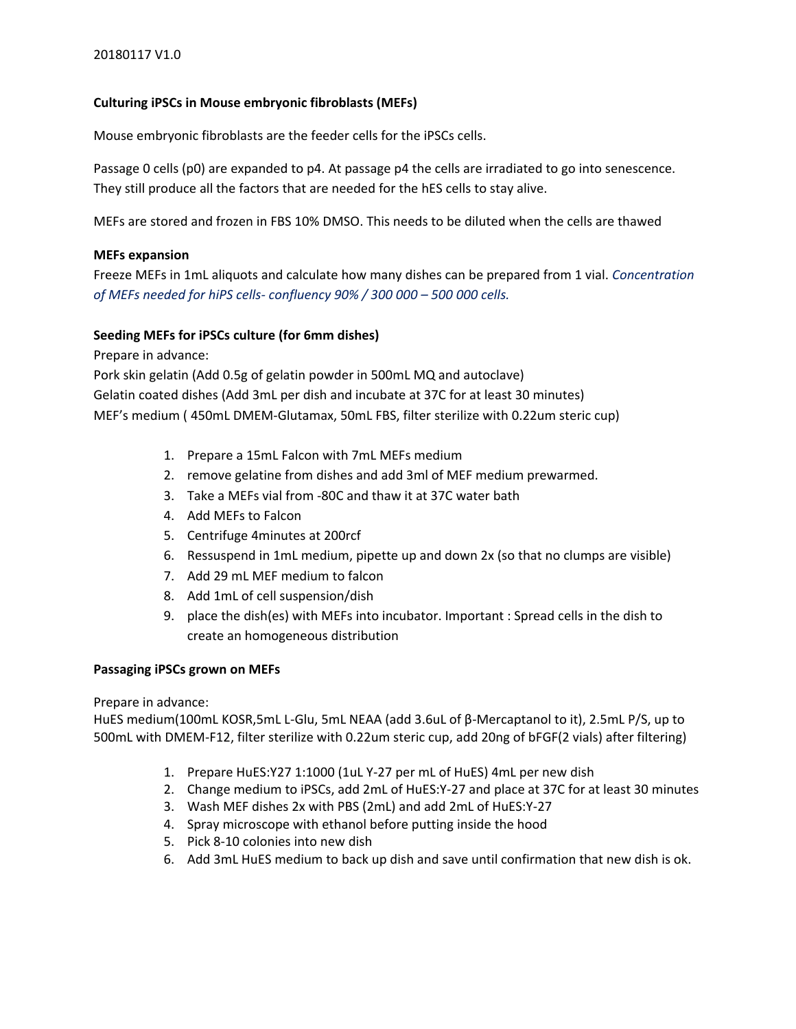# **Culturing iPSCs in Mouse embryonic fibroblasts (MEFs)**

Mouse embryonic fibroblasts are the feeder cells for the iPSCs cells.

Passage 0 cells (p0) are expanded to p4. At passage p4 the cells are irradiated to go into senescence. They still produce all the factors that are needed for the hES cells to stay alive.

MEFs are stored and frozen in FBS 10% DMSO. This needs to be diluted when the cells are thawed

# **MEFs expansion**

Freeze MEFs in 1mL aliquots and calculate how many dishes can be prepared from 1 vial. *Concentration of MEFs needed for hiPS cells- confluency 90% / 300 000 – 500 000 cells.*

### **Seeding MEFs for iPSCs culture (for 6mm dishes)**

Prepare in advance:

Pork skin gelatin (Add 0.5g of gelatin powder in 500mL MQ and autoclave) Gelatin coated dishes (Add 3mL per dish and incubate at 37C for at least 30 minutes) MEF's medium ( 450mL DMEM-Glutamax, 50mL FBS, filter sterilize with 0.22um steric cup)

- 1. Prepare a 15mL Falcon with 7mL MEFs medium
- 2. remove gelatine from dishes and add 3ml of MEF medium prewarmed.
- 3. Take a MEFs vial from -80C and thaw it at 37C water bath
- 4. Add MEFs to Falcon
- 5. Centrifuge 4minutes at 200rcf
- 6. Ressuspend in 1mL medium, pipette up and down 2x (so that no clumps are visible)
- 7. Add 29 mL MEF medium to falcon
- 8. Add 1mL of cell suspension/dish
- 9. place the dish(es) with MEFs into incubator. Important : Spread cells in the dish to create an homogeneous distribution

### **Passaging iPSCs grown on MEFs**

Prepare in advance:

HuES medium(100mL KOSR,5mL L-Glu, 5mL NEAA (add 3.6uL of β-Mercaptanol to it), 2.5mL P/S, up to 500mL with DMEM-F12, filter sterilize with 0.22um steric cup, add 20ng of bFGF(2 vials) after filtering)

- 1. Prepare HuES:Y27 1:1000 (1uL Y-27 per mL of HuES) 4mL per new dish
- 2. Change medium to iPSCs, add 2mL of HuES:Y-27 and place at 37C for at least 30 minutes
- 3. Wash MEF dishes 2x with PBS (2mL) and add 2mL of HuES:Y-27
- 4. Spray microscope with ethanol before putting inside the hood
- 5. Pick 8-10 colonies into new dish
- 6. Add 3mL HuES medium to back up dish and save until confirmation that new dish is ok.